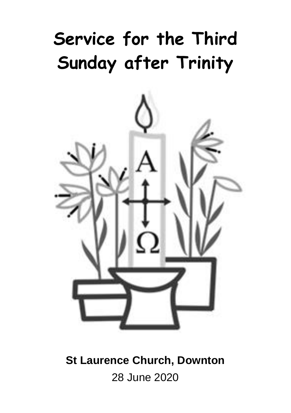# **Service for the Third Sunday after Trinity**



**St Laurence Church, Downton** 28 June 2020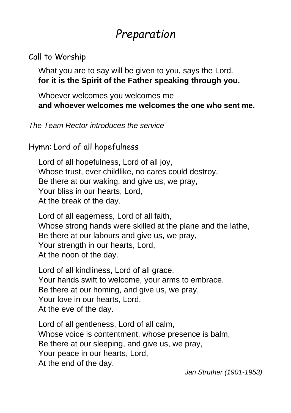## *Preparation*

#### Call to Worship

What you are to say will be given to you, says the Lord. **for it is the Spirit of the Father speaking through you.**

Whoever welcomes you welcomes me **and whoever welcomes me welcomes the one who sent me.**

*The Team Rector introduces the service*

Hymn: Lord of all hopefulness

Lord of all hopefulness, Lord of all joy, Whose trust, ever childlike, no cares could destroy, Be there at our waking, and give us, we pray, Your bliss in our hearts, Lord, At the break of the day.

Lord of all eagerness, Lord of all faith, Whose strong hands were skilled at the plane and the lathe, Be there at our labours and give us, we pray, Your strength in our hearts, Lord, At the noon of the day.

Lord of all kindliness, Lord of all grace, Your hands swift to welcome, your arms to embrace. Be there at our homing, and give us, we pray, Your love in our hearts, Lord, At the eve of the day.

Lord of all gentleness, Lord of all calm, Whose voice is contentment, whose presence is balm, Be there at our sleeping, and give us, we pray, Your peace in our hearts, Lord, At the end of the day.

*Jan Struther (1901-1953)*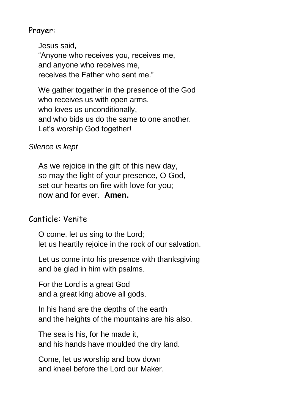#### Prayer:

Jesus said, "Anyone who receives you, receives me, and anyone who receives me, receives the Father who sent me."

We gather together in the presence of the God who receives us with open arms, who loves us unconditionally, and who bids us do the same to one another. Let's worship God together!

#### *Silence is kept*

As we rejoice in the gift of this new day, so may the light of your presence, O God, set our hearts on fire with love for you; now and for ever. **Amen.**

#### Canticle: Venite

O come, let us sing to the Lord; let us heartily rejoice in the rock of our salvation.

Let us come into his presence with thanksgiving and be glad in him with psalms.

For the Lord is a great God and a great king above all gods.

In his hand are the depths of the earth and the heights of the mountains are his also.

The sea is his, for he made it, and his hands have moulded the dry land.

Come, let us worship and bow down and kneel before the Lord our Maker.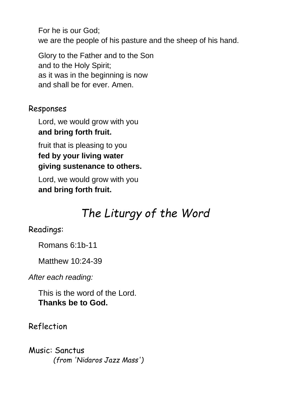For he is our God; we are the people of his pasture and the sheep of his hand.

Glory to the Father and to the Son and to the Holy Spirit; as it was in the beginning is now and shall be for ever. Amen.

#### Responses

Lord, we would grow with you **and bring forth fruit.**

fruit that is pleasing to you **fed by your living water giving sustenance to others.**

Lord, we would grow with you **and bring forth fruit.**

## *The Liturgy of the Word*

#### Readings:

Romans 6:1b-11

Matthew 10:24-39

*After each reading:*

This is the word of the Lord. **Thanks be to God.**

Reflection

Music: Sanctus *(from 'Nidaros Jazz Mass')*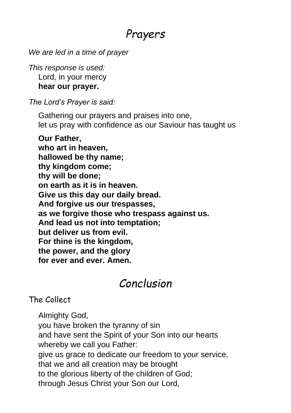## *Prayers*

*We are led in a time of prayer*

*This response is used:* Lord, in your mercy **hear our prayer.**

*The Lord's Prayer is said:*

Gathering our prayers and praises into one, let us pray with confidence as our Saviour has taught us

**Our Father, who art in heaven, hallowed be thy name; thy kingdom come; thy will be done; on earth as it is in heaven. Give us this day our daily bread. And forgive us our trespasses, as we forgive those who trespass against us. And lead us not into temptation; but deliver us from evil. For thine is the kingdom, the power, and the glory for ever and ever. Amen.**

## *Conclusion*

The Collect

Almighty God, you have broken the tyranny of sin and have sent the Spirit of your Son into our hearts whereby we call you Father: give us grace to dedicate our freedom to your service, that we and all creation may be brought to the glorious liberty of the children of God; through Jesus Christ your Son our Lord,